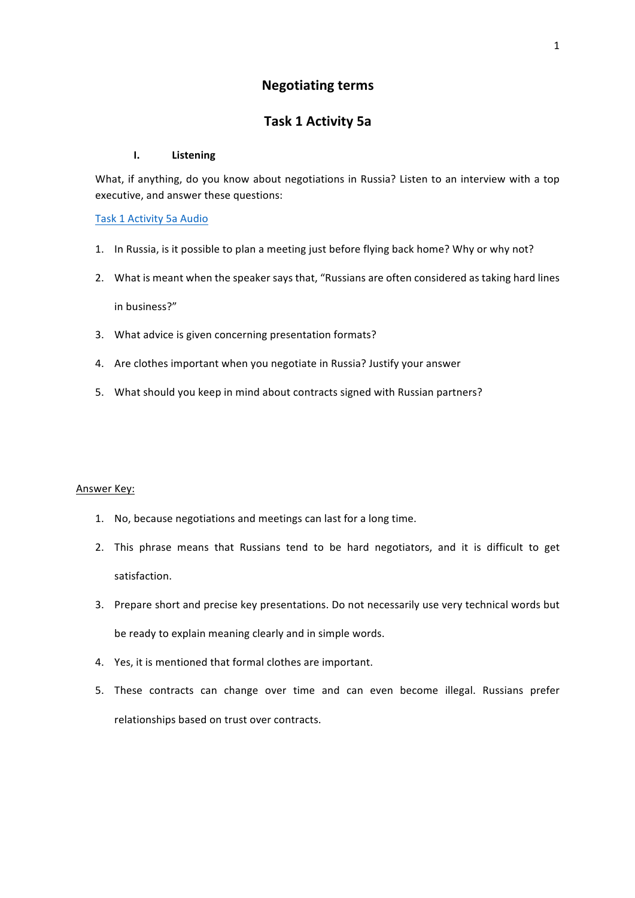## **Negotiating terms**

# **Task 1 Activity 5a**

#### **I. Listening**

What, if anything, do you know about negotiations in Russia? Listen to an interview with a top executive, and answer these questions:

### Task 1 Activity 5a Audio

- 1. In Russia, is it possible to plan a meeting just before flying back home? Why or why not?
- 2. What is meant when the speaker says that, "Russians are often considered as taking hard lines in business?"
- 3. What advice is given concerning presentation formats?
- 4. Are clothes important when you negotiate in Russia? Justify your answer
- 5. What should you keep in mind about contracts signed with Russian partners?

#### **Answer Key:**

- 1. No, because negotiations and meetings can last for a long time.
- 2. This phrase means that Russians tend to be hard negotiators, and it is difficult to get satisfaction.
- 3. Prepare short and precise key presentations. Do not necessarily use very technical words but be ready to explain meaning clearly and in simple words.
- 4. Yes, it is mentioned that formal clothes are important.
- 5. These contracts can change over time and can even become illegal. Russians prefer relationships based on trust over contracts.